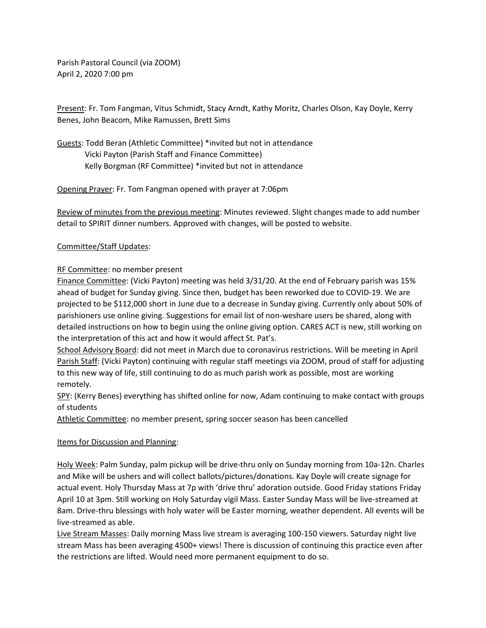Parish Pastoral Council (via ZOOM) April 2, 2020 7:00 pm

Present: Fr. Tom Fangman, Vitus Schmidt, Stacy Arndt, Kathy Moritz, Charles Olson, Kay Doyle, Kerry Benes, John Beacom, Mike Ramussen, Brett Sims

Guests: Todd Beran (Athletic Committee) \*invited but not in attendance Vicki Payton (Parish Staff and Finance Committee) Kelly Borgman (RF Committee) \*invited but not in attendance

Opening Prayer: Fr. Tom Fangman opened with prayer at 7:06pm

Review of minutes from the previous meeting: Minutes reviewed. Slight changes made to add number detail to SPIRIT dinner numbers. Approved with changes, will be posted to website.

## Committee/Staff Updates:

## RF Committee: no member present

Finance Committee: (Vicki Payton) meeting was held 3/31/20. At the end of February parish was 15% ahead of budget for Sunday giving. Since then, budget has been reworked due to COVID-19. We are projected to be \$112,000 short in June due to a decrease in Sunday giving. Currently only about 50% of parishioners use online giving. Suggestions for email list of non-weshare users be shared, along with detailed instructions on how to begin using the online giving option. CARES ACT is new, still working on the interpretation of this act and how it would affect St. Pat's.

School Advisory Board: did not meet in March due to coronavirus restrictions. Will be meeting in April Parish Staff: (Vicki Payton) continuing with regular staff meetings via ZOOM, proud of staff for adjusting to this new way of life, still continuing to do as much parish work as possible, most are working remotely.

SPY: (Kerry Benes) everything has shifted online for now, Adam continuing to make contact with groups of students

Athletic Committee: no member present, spring soccer season has been cancelled

## Items for Discussion and Planning:

Holy Week: Palm Sunday, palm pickup will be drive-thru only on Sunday morning from 10a-12n. Charles and Mike will be ushers and will collect ballots/pictures/donations. Kay Doyle will create signage for actual event. Holy Thursday Mass at 7p with 'drive thru' adoration outside. Good Friday stations Friday April 10 at 3pm. Still working on Holy Saturday vigil Mass. Easter Sunday Mass will be live-streamed at 8am. Drive-thru blessings with holy water will be Easter morning, weather dependent. All events will be live-streamed as able.

Live Stream Masses: Daily morning Mass live stream is averaging 100-150 viewers. Saturday night live stream Mass has been averaging 4500+ views! There is discussion of continuing this practice even after the restrictions are lifted. Would need more permanent equipment to do so.